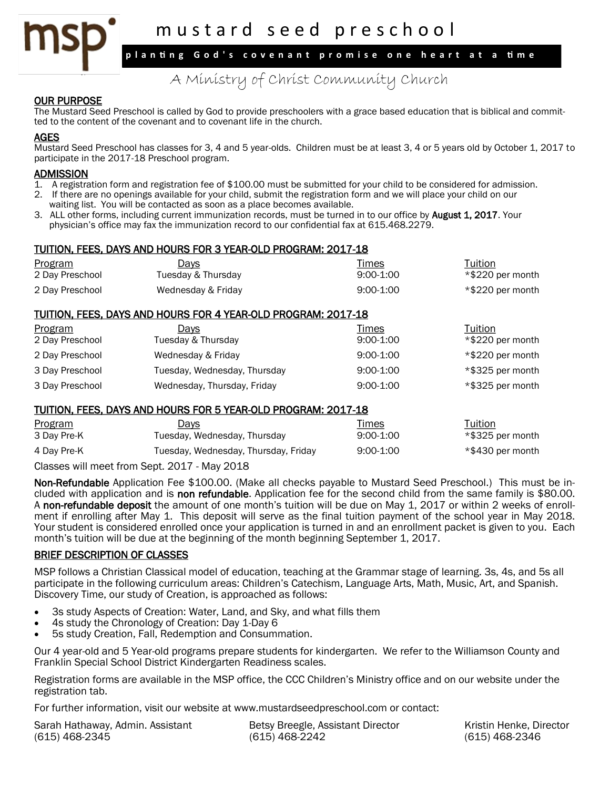A Ministry of Christ Community Church m u s t a r d s e e d p r e s c h o o l **p l a n ti n g G o d ' s c o v e n a n t p r o m i s e o n e h e a r t a t a ti m e**

## OUR PURPOSE

The Mustard Seed Preschool is called by God to provide preschoolers with a grace based education that is biblical and committed to the content of the covenant and to covenant life in the church.

### AGES

Mustard Seed Preschool has classes for 3, 4 and 5 year-olds. Children must be at least 3, 4 or 5 years old by October 1, 2017 to participate in the 2017-18 Preschool program.

- **ADMISSION**<br>1. A registra 1. A registration form and registration fee of \$100.00 must be submitted for your child to be considered for admission.
- 2. If there are no openings available for your child, submit the registration form and we will place your child on our waiting list. You will be contacted as soon as a place becomes available.
- 3. ALL other forms, including current immunization records, must be turned in to our office by **August 1, 2017**. Your physician's office may fax the immunization record to our confidential fax at 615.468.2279.

#### TUITION, FEES, DAYS AND HOURS FOR 3 YEAR-OLD PROGRAM: 2017-18

| <b>Program</b>  | <u>Days</u>        | <u>Times</u> | Tuition          |
|-----------------|--------------------|--------------|------------------|
| 2 Day Preschool | Tuesday & Thursday | $9:00-1:00$  | *\$220 per month |
| 2 Day Preschool | Wednesday & Friday | $9:00-1:00$  | *\$220 per month |

### TUITION, FEES, DAYS AND HOURS FOR 4 YEAR-OLD PROGRAM: 2017-18

| Program         | <u>Days</u>                  | Times       | Tuition          |
|-----------------|------------------------------|-------------|------------------|
| 2 Day Preschool | Tuesday & Thursday           | $9:00-1:00$ | *\$220 per month |
| 2 Day Preschool | Wednesday & Friday           | $9:00-1:00$ | *\$220 per month |
| 3 Day Preschool | Tuesday, Wednesday, Thursday | $9:00-1:00$ | *\$325 per month |
| 3 Day Preschool | Wednesday, Thursday, Friday  | $9:00-1:00$ | *\$325 per month |

#### TUITION, FEES, DAYS AND HOURS FOR 5 YEAR-OLD PROGRAM: 2017-18

| Program     | <u>Days</u>                          | <u>Times</u> | Tuition          |
|-------------|--------------------------------------|--------------|------------------|
| 3 Day Pre-K | Tuesday, Wednesday, Thursday         | $9:00-1:00$  | *\$325 per month |
| 4 Day Pre-K | Tuesday, Wednesday, Thursday, Friday | $9:00-1:00$  | *\$430 per month |
|             |                                      |              |                  |

Classes will meet from Sept. 2017 - May 2018

Non-Refundable Application Fee \$100.00. (Make all checks payable to Mustard Seed Preschool.) This must be included with application and is non refundable. Application fee for the second child from the same family is \$80.00. A non-refundable deposit the amount of one month's tuition will be due on May 1, 2017 or within 2 weeks of enrollment if enrolling after May 1. This deposit will serve as the final tuition payment of the school year in May 2018. Your student is considered enrolled once your application is turned in and an enrollment packet is given to you. Each month's tuition will be due at the beginning of the month beginning September 1, 2017.

#### BRIEF DESCRIPTION OF CLASSES

MSP follows a Christian Classical model of education, teaching at the Grammar stage of learning. 3s, 4s, and 5s all participate in the following curriculum areas: Children's Catechism, Language Arts, Math, Music, Art, and Spanish. Discovery Time, our study of Creation, is approached as follows:

- 3s study Aspects of Creation: Water, Land, and Sky, and what fills them
- 4s study the Chronology of Creation: Day 1-Day 6
- 5s study Creation, Fall, Redemption and Consummation.

Our 4 year-old and 5 Year-old programs prepare students for kindergarten. We refer to the Williamson County and Franklin Special School District Kindergarten Readiness scales.

Registration forms are available in the MSP office, the CCC Children's Ministry office and on our website under the registration tab.

For further information, visit our website at www.mustardseedpreschool.com or contact:

| Sarah Hathaway, Admin. Assistant | Betsy Breegle, Assistant Director | Kristin Henke, Director |
|----------------------------------|-----------------------------------|-------------------------|
| (615) 468-2345                   | (615) 468-2242                    | (615) 468-2346          |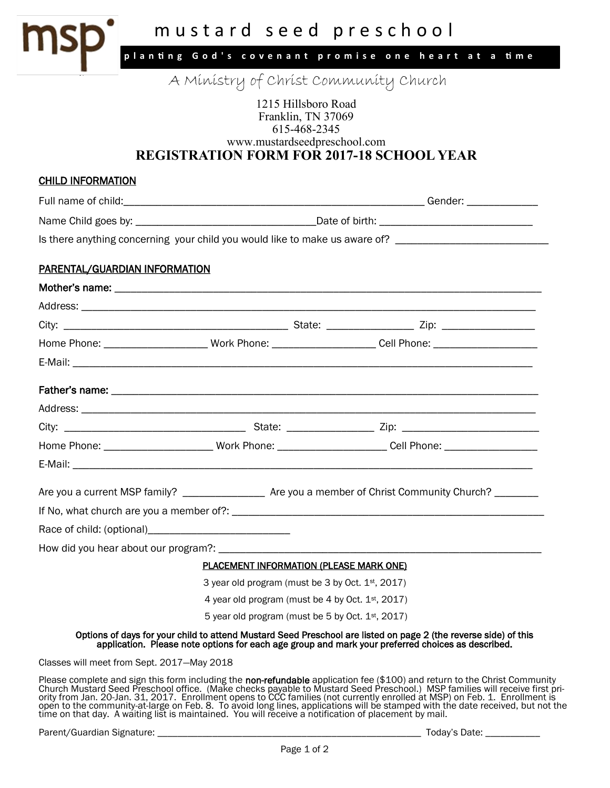

# 615-468-2345 www.mustardseedpreschool.com **REGISTRATION FORM FOR 2017-18 SCHOOL YEAR**

| <b>CHILD INFORMATION</b>                                                                                                                                                                                             |                                                  |  |                                                                                                                |
|----------------------------------------------------------------------------------------------------------------------------------------------------------------------------------------------------------------------|--------------------------------------------------|--|----------------------------------------------------------------------------------------------------------------|
|                                                                                                                                                                                                                      |                                                  |  |                                                                                                                |
|                                                                                                                                                                                                                      |                                                  |  |                                                                                                                |
| Is there anything concerning your child you would like to make us aware of? ________________________                                                                                                                 |                                                  |  |                                                                                                                |
|                                                                                                                                                                                                                      |                                                  |  |                                                                                                                |
| <b>PARENTAL/GUARDIAN INFORMATION</b>                                                                                                                                                                                 |                                                  |  |                                                                                                                |
|                                                                                                                                                                                                                      |                                                  |  |                                                                                                                |
|                                                                                                                                                                                                                      |                                                  |  |                                                                                                                |
|                                                                                                                                                                                                                      |                                                  |  |                                                                                                                |
|                                                                                                                                                                                                                      |                                                  |  | Home Phone: ___________________________ Work Phone: _______________________Cell Phone: _______________________ |
|                                                                                                                                                                                                                      |                                                  |  |                                                                                                                |
|                                                                                                                                                                                                                      |                                                  |  |                                                                                                                |
|                                                                                                                                                                                                                      |                                                  |  |                                                                                                                |
|                                                                                                                                                                                                                      |                                                  |  |                                                                                                                |
|                                                                                                                                                                                                                      |                                                  |  | Home Phone: _________________________Work Phone: _______________________Cell Phone: _____________________      |
|                                                                                                                                                                                                                      |                                                  |  |                                                                                                                |
|                                                                                                                                                                                                                      |                                                  |  |                                                                                                                |
|                                                                                                                                                                                                                      |                                                  |  |                                                                                                                |
|                                                                                                                                                                                                                      |                                                  |  |                                                                                                                |
|                                                                                                                                                                                                                      |                                                  |  |                                                                                                                |
|                                                                                                                                                                                                                      |                                                  |  |                                                                                                                |
| <b>PLACEMENT INFORMATION (PLEASE MARK ONE)</b>                                                                                                                                                                       |                                                  |  |                                                                                                                |
|                                                                                                                                                                                                                      | 3 year old program (must be 3 by Oct. 1st, 2017) |  |                                                                                                                |
|                                                                                                                                                                                                                      | 4 year old program (must be 4 by Oct. 1st, 2017) |  |                                                                                                                |
| 5 year old program (must be 5 by Oct. 1st, 2017)                                                                                                                                                                     |                                                  |  |                                                                                                                |
| Options of days for your child to attend Mustard Seed Preschool are listed on page 2 (the reverse side) of this<br>application. Please note options for each age group and mark your preferred choices as described. |                                                  |  |                                                                                                                |
| Classes will meet from Sept. 2017-May 2018                                                                                                                                                                           |                                                  |  |                                                                                                                |
|                                                                                                                                                                                                                      |                                                  |  |                                                                                                                |

Please complete and sign this form including the non-refundable application fee (\$100) and return to the Christ Community Church Mustard Seed Preschool office. (Make checks payable to Mustard Seed Preschool.) MSP families will receive first priority from Jan. 20-Jan. 31, 2017. Enrollment opens to CCC families (not currently enrolled at MSP) on Feb. 1. Enrollment is open to the community-at-large on Feb. 8. To avoid long lines, applications will be stamped with the date received, but not the time on that day. A waiting list is maintained. You will receive a notification of placement by mail.